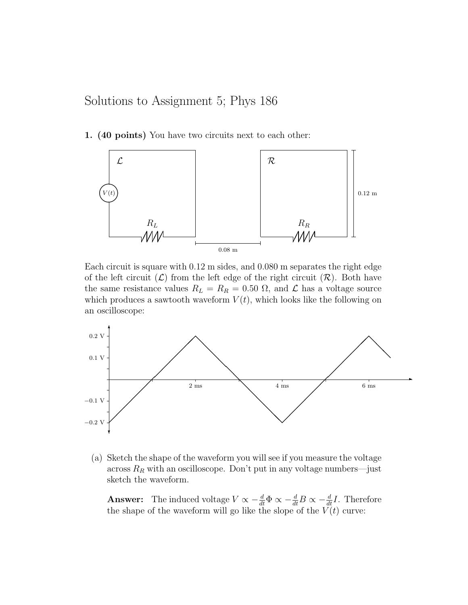Solutions to Assignment 5; Phys 186

1. (40 points) You have two circuits next to each other:



Each circuit is square with 0.12 m sides, and 0.080 m separates the right edge of the left circuit  $(\mathcal{L})$  from the left edge of the right circuit  $(\mathcal{R})$ . Both have the same resistance values  $R_L = R_R = 0.50 \Omega$ , and  $\mathcal L$  has a voltage source which produces a sawtooth waveform  $V(t)$ , which looks like the following on an oscilloscope:



(a) Sketch the shape of the waveform you will see if you measure the voltage across  $R_R$  with an oscilloscope. Don't put in any voltage numbers—just sketch the waveform.

**Answer:** The induced voltage  $V \propto -\frac{d}{dt}\Phi \propto -\frac{d}{dt}B \propto -\frac{d}{dt}I$ . Therefore the shape of the waveform will go like the slope of the  $V(t)$  curve: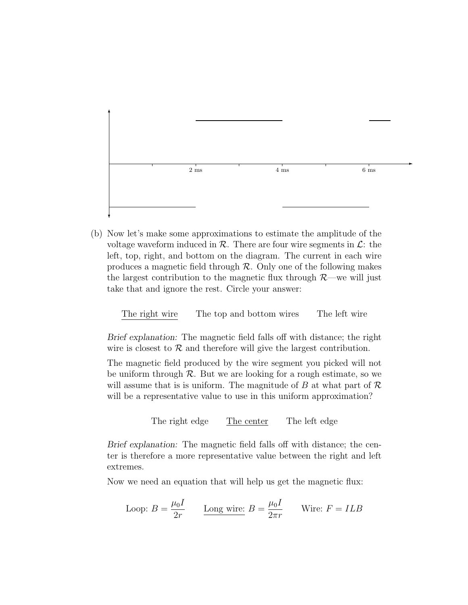

(b) Now let's make some approximations to estimate the amplitude of the voltage waveform induced in  $\mathcal{R}$ . There are four wire segments in  $\mathcal{L}$ : the left, top, right, and bottom on the diagram. The current in each wire produces a magnetic field through  $\mathcal R$ . Only one of the following makes the largest contribution to the magnetic flux through  $\mathcal{R}$ —we will just take that and ignore the rest. Circle your answer:

The right wire The top and bottom wires The left wire

Brief explanation: The magnetic field falls off with distance; the right wire is closest to  $R$  and therefore will give the largest contribution.

The magnetic field produced by the wire segment you picked will not be uniform through  $\mathcal R$ . But we are looking for a rough estimate, so we will assume that is is uniform. The magnitude of  $B$  at what part of  $\mathcal R$ will be a representative value to use in this uniform approximation?

The right edge The center The left edge

Brief explanation: The magnetic field falls off with distance; the center is therefore a more representative value between the right and left extremes.

Now we need an equation that will help us get the magnetic flux:

Loop: 
$$
B = \frac{\mu_0 I}{2r}
$$
  $\underline{\text{Long wire:}} B = \frac{\mu_0 I}{2\pi r}$  Write:  $F = ILB$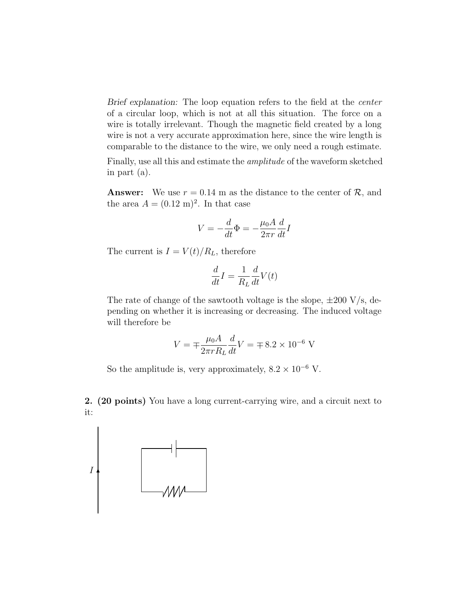Brief explanation: The loop equation refers to the field at the *center* of a circular loop, which is not at all this situation. The force on a wire is totally irrelevant. Though the magnetic field created by a long wire is not a very accurate approximation here, since the wire length is comparable to the distance to the wire, we only need a rough estimate.

Finally, use all this and estimate the amplitude of the waveform sketched in part (a).

**Answer:** We use  $r = 0.14$  m as the distance to the center of  $\mathcal{R}$ , and the area  $A = (0.12 \text{ m})^2$ . In that case

$$
V = -\frac{d}{dt}\Phi = -\frac{\mu_0 A}{2\pi r}\frac{d}{dt}I
$$

The current is  $I = V(t)/R_L$ , therefore

$$
\frac{d}{dt}I = \frac{1}{R_L}\frac{d}{dt}V(t)
$$

The rate of change of the sawtooth voltage is the slope,  $\pm 200 \text{ V/s}$ , depending on whether it is increasing or decreasing. The induced voltage will therefore be

$$
V = \pm \frac{\mu_0 A}{2\pi r R_L} \frac{d}{dt} V = \pm 8.2 \times 10^{-6} \text{ V}
$$

So the amplitude is, very approximately,  $8.2 \times 10^{-6}$  V.

2. (20 points) You have a long current-carrying wire, and a circuit next to it:

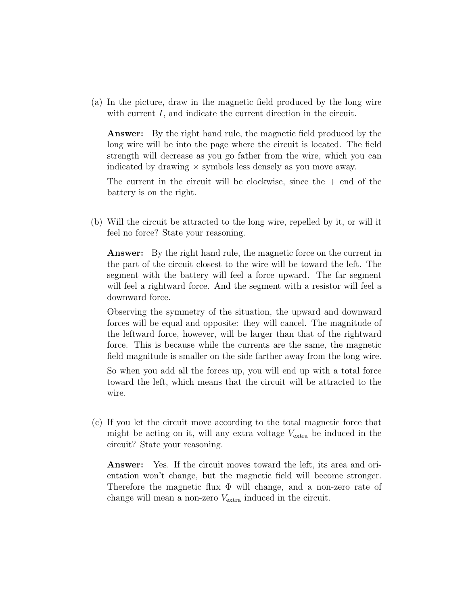(a) In the picture, draw in the magnetic field produced by the long wire with current I, and indicate the current direction in the circuit.

Answer: By the right hand rule, the magnetic field produced by the long wire will be into the page where the circuit is located. The field strength will decrease as you go father from the wire, which you can indicated by drawing  $\times$  symbols less densely as you move away.

The current in the circuit will be clockwise, since the  $+$  end of the battery is on the right.

(b) Will the circuit be attracted to the long wire, repelled by it, or will it feel no force? State your reasoning.

**Answer:** By the right hand rule, the magnetic force on the current in the part of the circuit closest to the wire will be toward the left. The segment with the battery will feel a force upward. The far segment will feel a rightward force. And the segment with a resistor will feel a downward force.

Observing the symmetry of the situation, the upward and downward forces will be equal and opposite: they will cancel. The magnitude of the leftward force, however, will be larger than that of the rightward force. This is because while the currents are the same, the magnetic field magnitude is smaller on the side farther away from the long wire.

So when you add all the forces up, you will end up with a total force toward the left, which means that the circuit will be attracted to the wire.

(c) If you let the circuit move according to the total magnetic force that might be acting on it, will any extra voltage  $V_{\text{extra}}$  be induced in the circuit? State your reasoning.

Answer: Yes. If the circuit moves toward the left, its area and orientation won't change, but the magnetic field will become stronger. Therefore the magnetic flux Φ will change, and a non-zero rate of change will mean a non-zero  $V_{\text{extra}}$  induced in the circuit.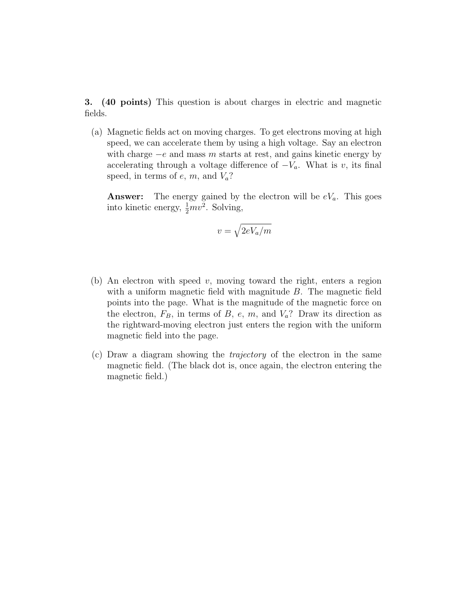3. (40 points) This question is about charges in electric and magnetic fields.

(a) Magnetic fields act on moving charges. To get electrons moving at high speed, we can accelerate them by using a high voltage. Say an electron with charge  $-e$  and mass m starts at rest, and gains kinetic energy by accelerating through a voltage difference of  $-V_a$ . What is v, its final speed, in terms of  $e$ ,  $m$ , and  $V_a$ ?

**Answer:** The energy gained by the electron will be  $eV_a$ . This goes into kinetic energy,  $\frac{1}{2}mv^2$ . Solving,

$$
v = \sqrt{2eV_a/m}
$$

- (b) An electron with speed  $v$ , moving toward the right, enters a region with a uniform magnetic field with magnitude B. The magnetic field points into the page. What is the magnitude of the magnetic force on the electron,  $F_B$ , in terms of B, e, m, and  $V_a$ ? Draw its direction as the rightward-moving electron just enters the region with the uniform magnetic field into the page.
- (c) Draw a diagram showing the trajectory of the electron in the same magnetic field. (The black dot is, once again, the electron entering the magnetic field.)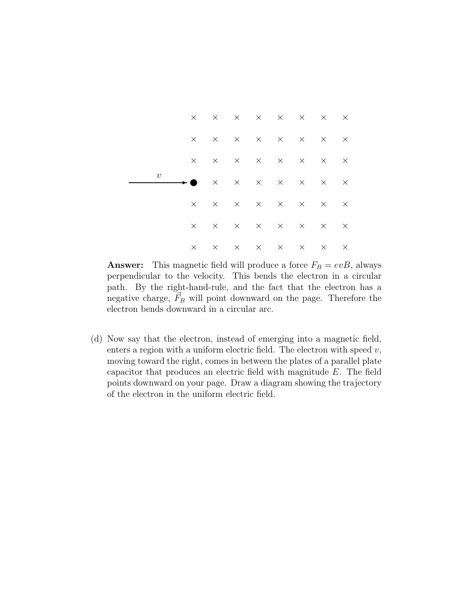

**Answer:** This magnetic field will produce a force  $F_B = evB$ , always perpendicular to the velocity. This bends the electron in a circular path. By the right-hand-rule, and the fact that the electron has a negative charge,  $\vec{F}_B$  will point downward on the page. Therefore the electron bends downward in a circular arc.

(d) Now say that the electron, instead of emerging into a magnetic field, enters a region with a uniform electric field. The electron with speed  $v$ , moving toward the right, comes in between the plates of a parallel plate capacitor that produces an electric field with magnitude E. The field points downward on your page. Draw a diagram showing the trajectory of the electron in the uniform electric field.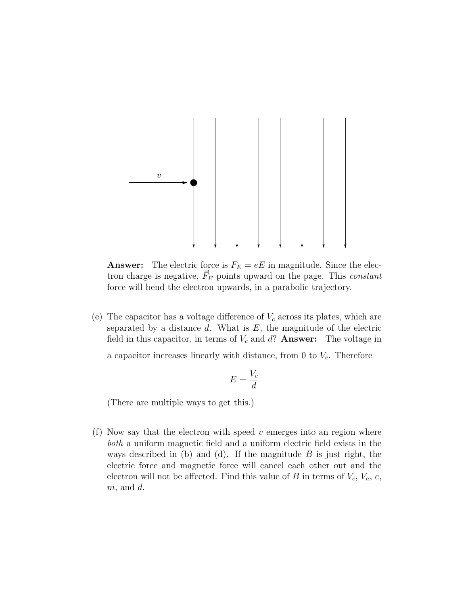

**Answer:** The electric force is  $F_E = eE$  in magnitude. Since the electron charge is negative,  $\vec{F}_E$  points upward on the page. This *constant* force will bend the electron upwards, in a parabolic trajectory.

(e) The capacitor has a voltage difference of  $V_c$  across its plates, which are separated by a distance  $d$ . What is  $E$ , the magnitude of the electric field in this capacitor, in terms of  $V_c$  and  $d$ ? **Answer:** The voltage in

a capacitor increases linearly with distance, from 0 to  $V_c$ . Therefore

$$
E = \frac{V_c}{d}
$$

(There are multiple ways to get this.)

(f) Now say that the electron with speed  $v$  emerges into an region where both a uniform magnetic field and a uniform electric field exists in the ways described in (b) and (d). If the magnitude  $B$  is just right, the electric force and magnetic force will cancel each other out and the electron will not be affected. Find this value of B in terms of  $V_c$ ,  $V_a$ ,  $e$ ,  $m$ , and  $d$ .